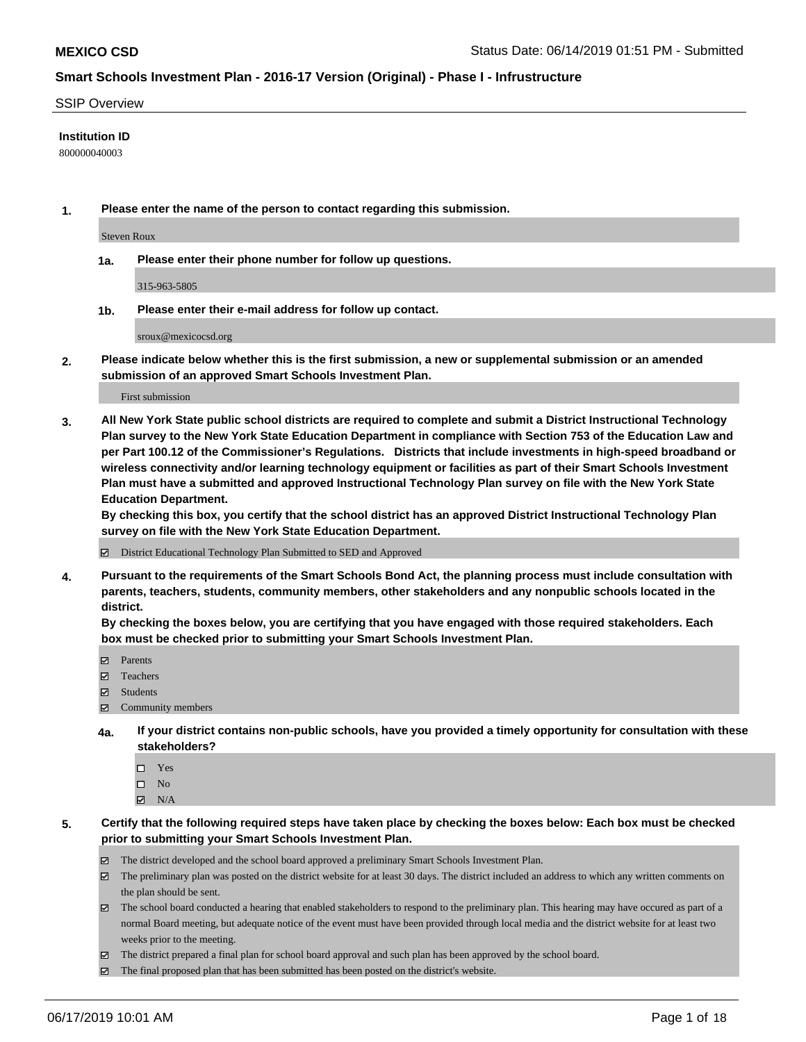#### SSIP Overview

#### **Institution ID**

800000040003

**1. Please enter the name of the person to contact regarding this submission.**

Steven Roux

**1a. Please enter their phone number for follow up questions.**

315-963-5805

**1b. Please enter their e-mail address for follow up contact.**

sroux@mexicocsd.org

**2. Please indicate below whether this is the first submission, a new or supplemental submission or an amended submission of an approved Smart Schools Investment Plan.**

First submission

**3. All New York State public school districts are required to complete and submit a District Instructional Technology Plan survey to the New York State Education Department in compliance with Section 753 of the Education Law and per Part 100.12 of the Commissioner's Regulations. Districts that include investments in high-speed broadband or wireless connectivity and/or learning technology equipment or facilities as part of their Smart Schools Investment Plan must have a submitted and approved Instructional Technology Plan survey on file with the New York State Education Department.** 

**By checking this box, you certify that the school district has an approved District Instructional Technology Plan survey on file with the New York State Education Department.**

District Educational Technology Plan Submitted to SED and Approved

**4. Pursuant to the requirements of the Smart Schools Bond Act, the planning process must include consultation with parents, teachers, students, community members, other stakeholders and any nonpublic schools located in the district.** 

**By checking the boxes below, you are certifying that you have engaged with those required stakeholders. Each box must be checked prior to submitting your Smart Schools Investment Plan.**

- Parents
- Teachers
- Students
- Community members
- **4a. If your district contains non-public schools, have you provided a timely opportunity for consultation with these stakeholders?**
	- □ Yes
	- $\square$  No
	- $N/A$
- **5. Certify that the following required steps have taken place by checking the boxes below: Each box must be checked prior to submitting your Smart Schools Investment Plan.**
	- The district developed and the school board approved a preliminary Smart Schools Investment Plan.
	- $\boxtimes$  The preliminary plan was posted on the district website for at least 30 days. The district included an address to which any written comments on the plan should be sent.
	- $\boxtimes$  The school board conducted a hearing that enabled stakeholders to respond to the preliminary plan. This hearing may have occured as part of a normal Board meeting, but adequate notice of the event must have been provided through local media and the district website for at least two weeks prior to the meeting.
	- The district prepared a final plan for school board approval and such plan has been approved by the school board.
	- $\boxtimes$  The final proposed plan that has been submitted has been posted on the district's website.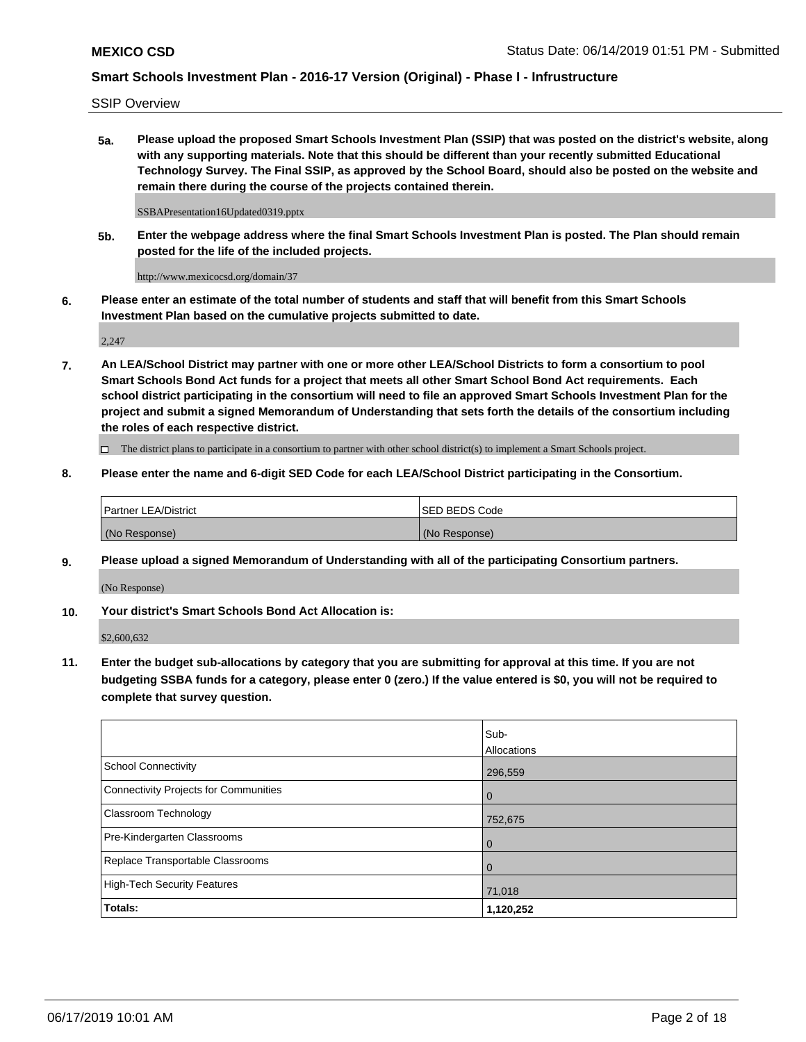SSIP Overview

**5a. Please upload the proposed Smart Schools Investment Plan (SSIP) that was posted on the district's website, along with any supporting materials. Note that this should be different than your recently submitted Educational Technology Survey. The Final SSIP, as approved by the School Board, should also be posted on the website and remain there during the course of the projects contained therein.**

SSBAPresentation16Updated0319.pptx

**5b. Enter the webpage address where the final Smart Schools Investment Plan is posted. The Plan should remain posted for the life of the included projects.**

http://www.mexicocsd.org/domain/37

**6. Please enter an estimate of the total number of students and staff that will benefit from this Smart Schools Investment Plan based on the cumulative projects submitted to date.**

2,247

**7. An LEA/School District may partner with one or more other LEA/School Districts to form a consortium to pool Smart Schools Bond Act funds for a project that meets all other Smart School Bond Act requirements. Each school district participating in the consortium will need to file an approved Smart Schools Investment Plan for the project and submit a signed Memorandum of Understanding that sets forth the details of the consortium including the roles of each respective district.**

 $\Box$  The district plans to participate in a consortium to partner with other school district(s) to implement a Smart Schools project.

**8. Please enter the name and 6-digit SED Code for each LEA/School District participating in the Consortium.**

| Partner LEA/District | <b>ISED BEDS Code</b> |
|----------------------|-----------------------|
| (No Response)        | (No Response)         |

#### **9. Please upload a signed Memorandum of Understanding with all of the participating Consortium partners.**

(No Response)

**10. Your district's Smart Schools Bond Act Allocation is:**

\$2,600,632

**11. Enter the budget sub-allocations by category that you are submitting for approval at this time. If you are not budgeting SSBA funds for a category, please enter 0 (zero.) If the value entered is \$0, you will not be required to complete that survey question.**

|                                       | Sub-<br>Allocations |
|---------------------------------------|---------------------|
| School Connectivity                   | 296,559             |
| Connectivity Projects for Communities | $\overline{0}$      |
| <b>Classroom Technology</b>           | 752,675             |
| Pre-Kindergarten Classrooms           | $\overline{0}$      |
| Replace Transportable Classrooms      | $\Omega$            |
| High-Tech Security Features           | 71,018              |
| Totals:                               | 1,120,252           |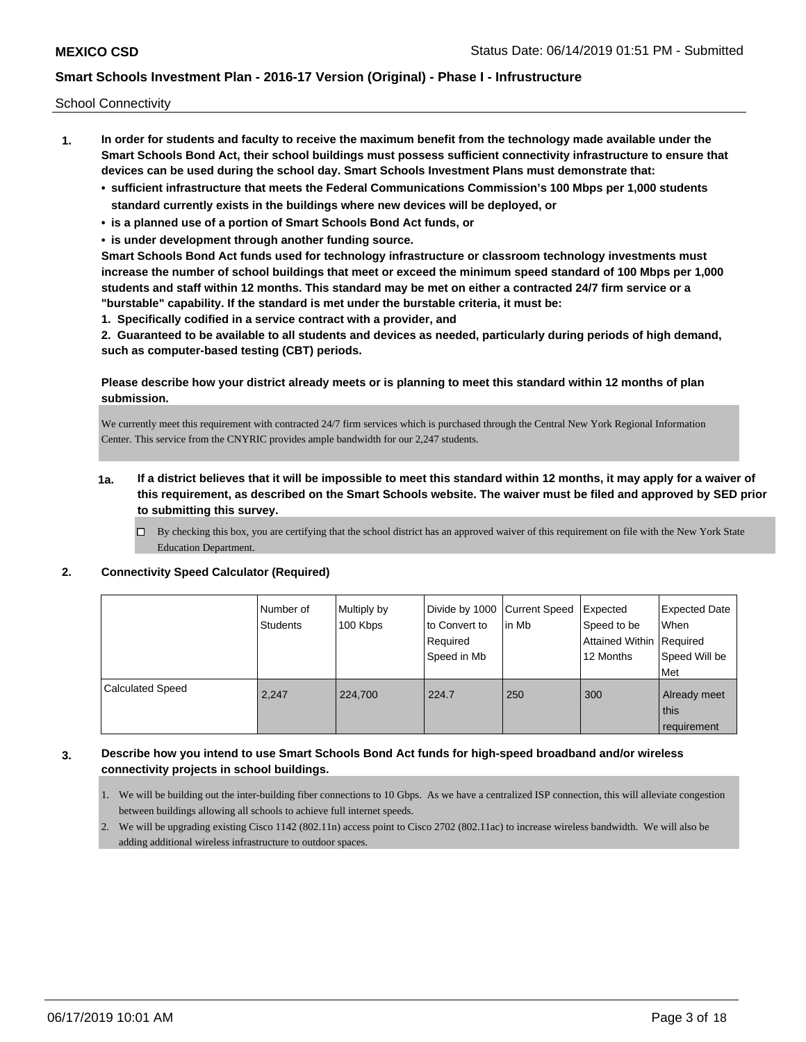School Connectivity

- **1. In order for students and faculty to receive the maximum benefit from the technology made available under the Smart Schools Bond Act, their school buildings must possess sufficient connectivity infrastructure to ensure that devices can be used during the school day. Smart Schools Investment Plans must demonstrate that:**
	- **• sufficient infrastructure that meets the Federal Communications Commission's 100 Mbps per 1,000 students standard currently exists in the buildings where new devices will be deployed, or**
	- **• is a planned use of a portion of Smart Schools Bond Act funds, or**
	- **• is under development through another funding source.**

**Smart Schools Bond Act funds used for technology infrastructure or classroom technology investments must increase the number of school buildings that meet or exceed the minimum speed standard of 100 Mbps per 1,000 students and staff within 12 months. This standard may be met on either a contracted 24/7 firm service or a "burstable" capability. If the standard is met under the burstable criteria, it must be:**

**1. Specifically codified in a service contract with a provider, and**

**2. Guaranteed to be available to all students and devices as needed, particularly during periods of high demand, such as computer-based testing (CBT) periods.**

#### **Please describe how your district already meets or is planning to meet this standard within 12 months of plan submission.**

We currently meet this requirement with contracted 24/7 firm services which is purchased through the Central New York Regional Information Center. This service from the CNYRIC provides ample bandwidth for our 2,247 students.

- **1a. If a district believes that it will be impossible to meet this standard within 12 months, it may apply for a waiver of this requirement, as described on the Smart Schools website. The waiver must be filed and approved by SED prior to submitting this survey.**
	- $\Box$  By checking this box, you are certifying that the school district has an approved waiver of this requirement on file with the New York State Education Department.

#### **2. Connectivity Speed Calculator (Required)**

|                         | Number of<br><b>Students</b> | Multiply by<br>100 Kbps | Divide by 1000 Current Speed<br>to Convert to<br>Required<br>Speed in Mb | in Mb | Expected<br>Speed to be<br>Attained Within Required<br>12 Months | <b>Expected Date</b><br>When<br>Speed Will be<br>Met |
|-------------------------|------------------------------|-------------------------|--------------------------------------------------------------------------|-------|------------------------------------------------------------------|------------------------------------------------------|
| <b>Calculated Speed</b> | 2.247                        | 224,700                 | 224.7                                                                    | 250   | 300                                                              | Already meet<br>this<br>requirement                  |

### **3. Describe how you intend to use Smart Schools Bond Act funds for high-speed broadband and/or wireless connectivity projects in school buildings.**

- 1. We will be building out the inter-building fiber connections to 10 Gbps. As we have a centralized ISP connection, this will alleviate congestion between buildings allowing all schools to achieve full internet speeds.
- 2. We will be upgrading existing Cisco 1142 (802.11n) access point to Cisco 2702 (802.11ac) to increase wireless bandwidth. We will also be adding additional wireless infrastructure to outdoor spaces.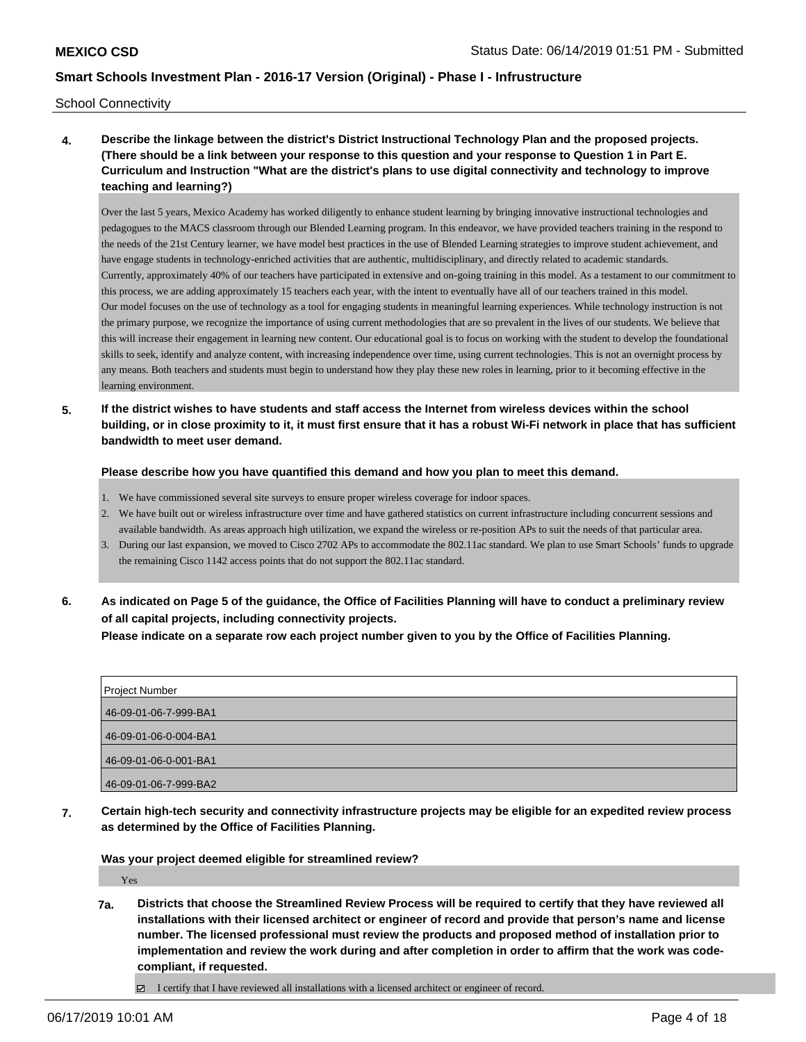School Connectivity

**4. Describe the linkage between the district's District Instructional Technology Plan and the proposed projects. (There should be a link between your response to this question and your response to Question 1 in Part E. Curriculum and Instruction "What are the district's plans to use digital connectivity and technology to improve teaching and learning?)**

Over the last 5 years, Mexico Academy has worked diligently to enhance student learning by bringing innovative instructional technologies and pedagogues to the MACS classroom through our Blended Learning program. In this endeavor, we have provided teachers training in the respond to the needs of the 21st Century learner, we have model best practices in the use of Blended Learning strategies to improve student achievement, and have engage students in technology-enriched activities that are authentic, multidisciplinary, and directly related to academic standards. Currently, approximately 40% of our teachers have participated in extensive and on-going training in this model. As a testament to our commitment to this process, we are adding approximately 15 teachers each year, with the intent to eventually have all of our teachers trained in this model. Our model focuses on the use of technology as a tool for engaging students in meaningful learning experiences. While technology instruction is not the primary purpose, we recognize the importance of using current methodologies that are so prevalent in the lives of our students. We believe that this will increase their engagement in learning new content. Our educational goal is to focus on working with the student to develop the foundational skills to seek, identify and analyze content, with increasing independence over time, using current technologies. This is not an overnight process by any means. Both teachers and students must begin to understand how they play these new roles in learning, prior to it becoming effective in the learning environment.

**5. If the district wishes to have students and staff access the Internet from wireless devices within the school building, or in close proximity to it, it must first ensure that it has a robust Wi-Fi network in place that has sufficient bandwidth to meet user demand.**

**Please describe how you have quantified this demand and how you plan to meet this demand.**

- 1. We have commissioned several site surveys to ensure proper wireless coverage for indoor spaces.
- 2. We have built out or wireless infrastructure over time and have gathered statistics on current infrastructure including concurrent sessions and available bandwidth. As areas approach high utilization, we expand the wireless or re-position APs to suit the needs of that particular area.
- 3. During our last expansion, we moved to Cisco 2702 APs to accommodate the 802.11ac standard. We plan to use Smart Schools' funds to upgrade the remaining Cisco 1142 access points that do not support the 802.11ac standard.
- **6. As indicated on Page 5 of the guidance, the Office of Facilities Planning will have to conduct a preliminary review of all capital projects, including connectivity projects.**

**Please indicate on a separate row each project number given to you by the Office of Facilities Planning.**

| <b>Project Number</b> |
|-----------------------|
| 46-09-01-06-7-999-BA1 |
| 46-09-01-06-0-004-BA1 |
| 46-09-01-06-0-001-BA1 |
| 46-09-01-06-7-999-BA2 |

**7. Certain high-tech security and connectivity infrastructure projects may be eligible for an expedited review process as determined by the Office of Facilities Planning.**

**Was your project deemed eligible for streamlined review?**

Yes

- **7a. Districts that choose the Streamlined Review Process will be required to certify that they have reviewed all installations with their licensed architect or engineer of record and provide that person's name and license number. The licensed professional must review the products and proposed method of installation prior to implementation and review the work during and after completion in order to affirm that the work was codecompliant, if requested.**
	- $\Box$  I certify that I have reviewed all installations with a licensed architect or engineer of record.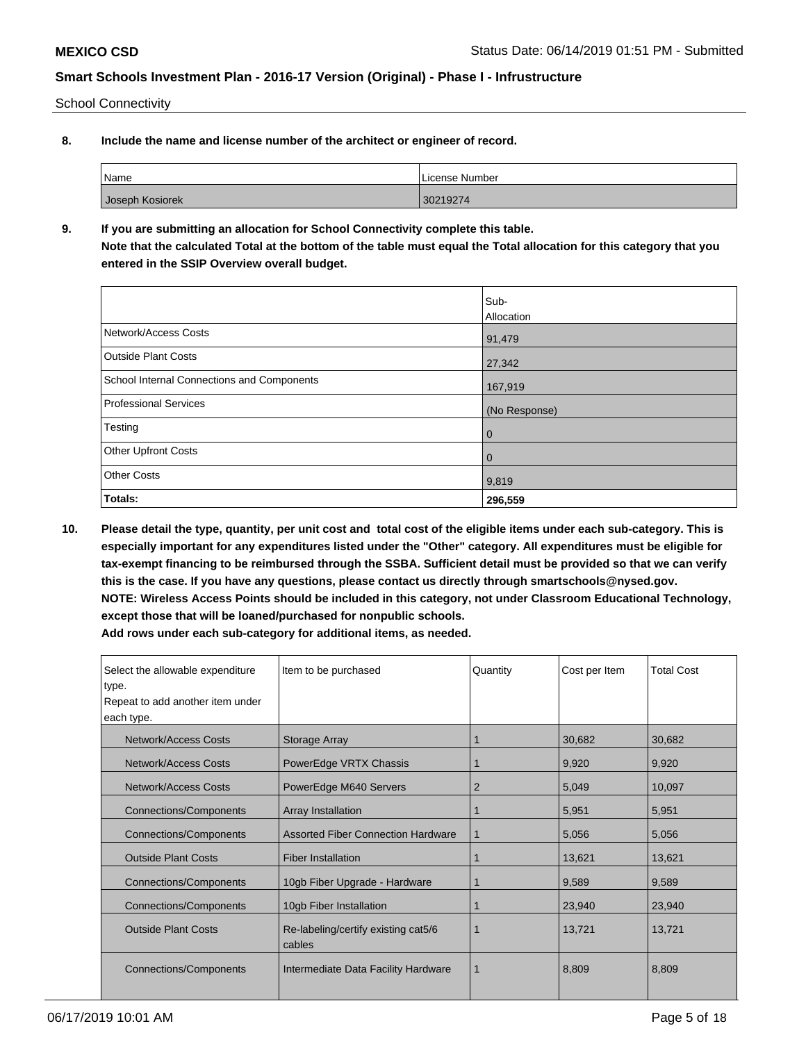School Connectivity

**8. Include the name and license number of the architect or engineer of record.**

| Name            | License Number |
|-----------------|----------------|
| Joseph Kosiorek | 30219274       |

**9. If you are submitting an allocation for School Connectivity complete this table. Note that the calculated Total at the bottom of the table must equal the Total allocation for this category that you entered in the SSIP Overview overall budget.** 

|                                            | Sub-          |
|--------------------------------------------|---------------|
|                                            | Allocation    |
| Network/Access Costs                       | 91,479        |
| <b>Outside Plant Costs</b>                 | 27,342        |
| School Internal Connections and Components | 167,919       |
| Professional Services                      | (No Response) |
| Testing                                    | $\mathbf 0$   |
| Other Upfront Costs                        | 0             |
| <b>Other Costs</b>                         | 9,819         |
| Totals:                                    | 296,559       |

**10. Please detail the type, quantity, per unit cost and total cost of the eligible items under each sub-category. This is especially important for any expenditures listed under the "Other" category. All expenditures must be eligible for tax-exempt financing to be reimbursed through the SSBA. Sufficient detail must be provided so that we can verify this is the case. If you have any questions, please contact us directly through smartschools@nysed.gov. NOTE: Wireless Access Points should be included in this category, not under Classroom Educational Technology, except those that will be loaned/purchased for nonpublic schools.**

| Select the allowable expenditure<br>Item to be purchased<br>type.<br>Repeat to add another item under<br>each type. |                                           | Quantity       | Cost per Item | <b>Total Cost</b> |
|---------------------------------------------------------------------------------------------------------------------|-------------------------------------------|----------------|---------------|-------------------|
| Network/Access Costs                                                                                                | Storage Array                             |                | 30,682        | 30,682            |
| <b>Network/Access Costs</b>                                                                                         | PowerEdge VRTX Chassis                    |                | 9,920         | 9,920             |
| Network/Access Costs                                                                                                | PowerEdge M640 Servers                    | $\overline{2}$ | 5,049         | 10,097            |
| <b>Connections/Components</b>                                                                                       | Array Installation                        |                | 5,951         | 5,951             |
| <b>Connections/Components</b>                                                                                       | <b>Assorted Fiber Connection Hardware</b> |                | 5,056         | 5,056             |
| <b>Outside Plant Costs</b>                                                                                          | <b>Fiber Installation</b>                 |                | 13,621        | 13,621            |
| <b>Connections/Components</b>                                                                                       | 10gb Fiber Upgrade - Hardware             |                | 9,589         | 9,589             |
| <b>Connections/Components</b><br>10gb Fiber Installation                                                            |                                           |                | 23,940        | 23,940            |
| <b>Outside Plant Costs</b><br>Re-labeling/certify existing cat5/6<br>cables                                         |                                           |                | 13,721        | 13,721            |
| Connections/Components                                                                                              | Intermediate Data Facility Hardware       | 1              | 8,809         | 8,809             |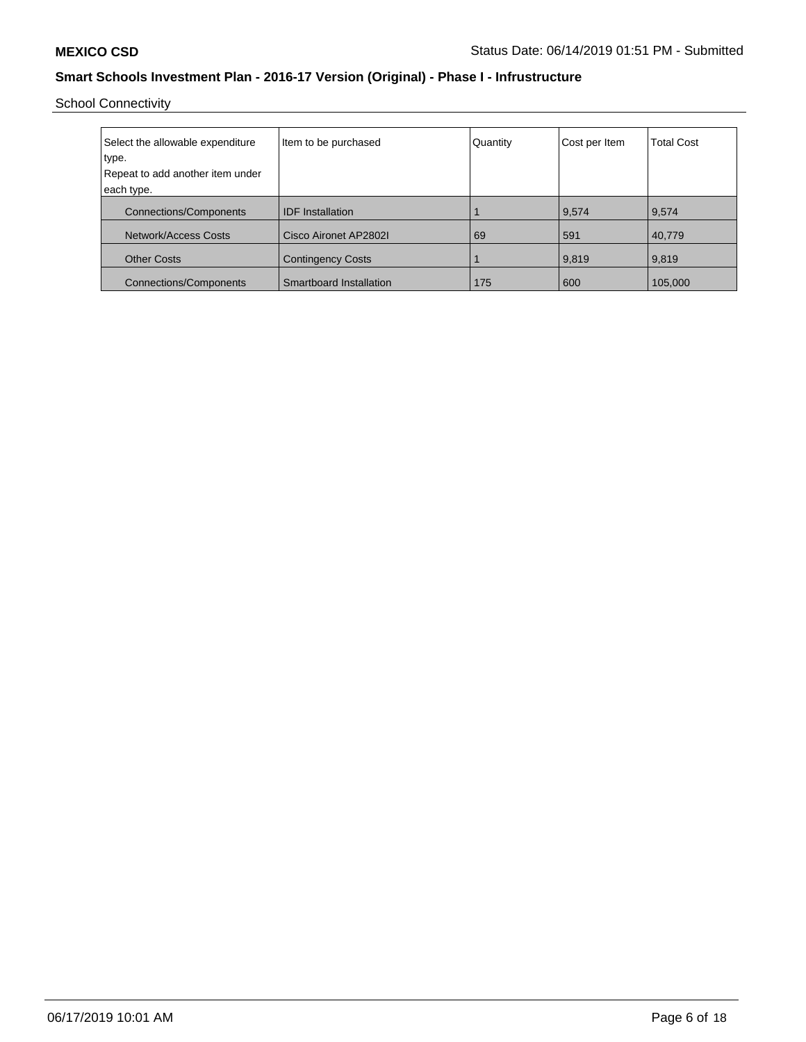School Connectivity

| Select the allowable expenditure<br>type.<br>Repeat to add another item under<br>each type. | Item to be purchased     | Quantity | Cost per Item | <b>Total Cost</b> |
|---------------------------------------------------------------------------------------------|--------------------------|----------|---------------|-------------------|
| <b>Connections/Components</b>                                                               | <b>IDF</b> Installation  |          | 9,574         | 9,574             |
| Network/Access Costs                                                                        | Cisco Aironet AP2802I    | 69       | 591           | 40,779            |
| <b>Other Costs</b>                                                                          | <b>Contingency Costs</b> |          | 9,819         | 9,819             |
| <b>Connections/Components</b>                                                               | Smartboard Installation  | 175      | 600           | 105,000           |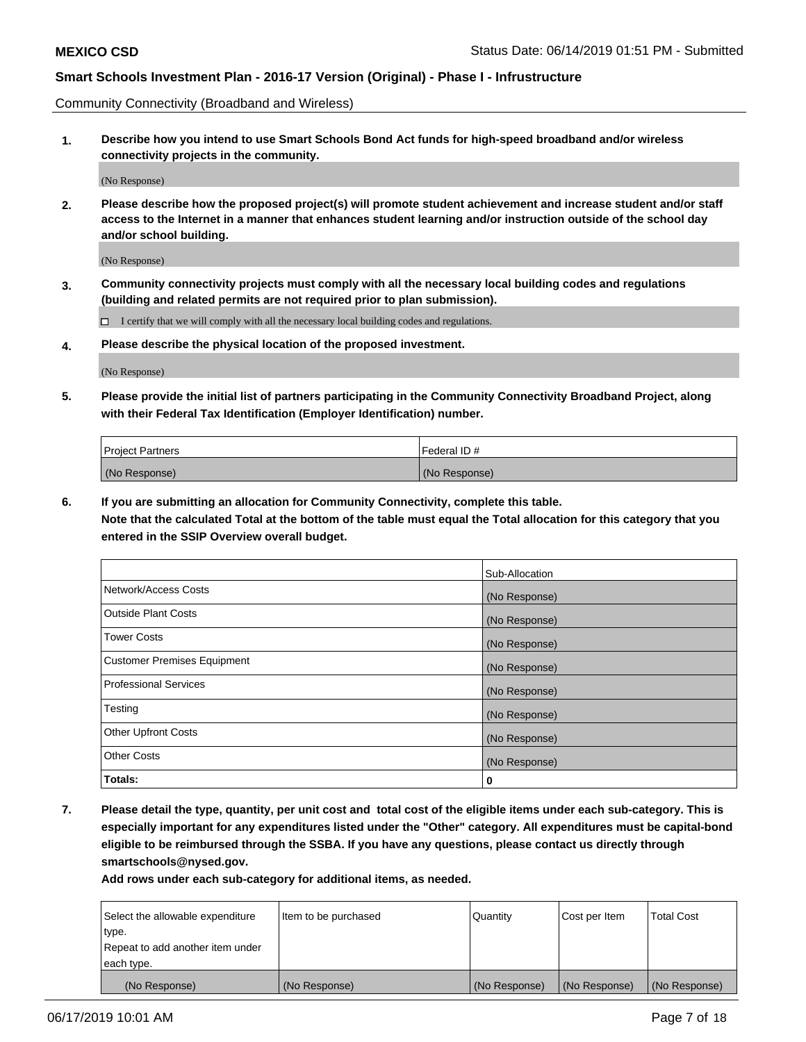Community Connectivity (Broadband and Wireless)

**1. Describe how you intend to use Smart Schools Bond Act funds for high-speed broadband and/or wireless connectivity projects in the community.**

(No Response)

**2. Please describe how the proposed project(s) will promote student achievement and increase student and/or staff access to the Internet in a manner that enhances student learning and/or instruction outside of the school day and/or school building.**

(No Response)

**3. Community connectivity projects must comply with all the necessary local building codes and regulations (building and related permits are not required prior to plan submission).**

 $\Box$  I certify that we will comply with all the necessary local building codes and regulations.

**4. Please describe the physical location of the proposed investment.**

(No Response)

**5. Please provide the initial list of partners participating in the Community Connectivity Broadband Project, along with their Federal Tax Identification (Employer Identification) number.**

| <b>Project Partners</b> | Federal ID#   |
|-------------------------|---------------|
| (No Response)           | (No Response) |

**6. If you are submitting an allocation for Community Connectivity, complete this table.**

**Note that the calculated Total at the bottom of the table must equal the Total allocation for this category that you entered in the SSIP Overview overall budget.**

|                                    | Sub-Allocation |
|------------------------------------|----------------|
| Network/Access Costs               | (No Response)  |
| <b>Outside Plant Costs</b>         | (No Response)  |
| <b>Tower Costs</b>                 | (No Response)  |
| <b>Customer Premises Equipment</b> | (No Response)  |
| <b>Professional Services</b>       | (No Response)  |
| Testing                            | (No Response)  |
| <b>Other Upfront Costs</b>         | (No Response)  |
| <b>Other Costs</b>                 | (No Response)  |
| Totals:                            | 0              |

**7. Please detail the type, quantity, per unit cost and total cost of the eligible items under each sub-category. This is especially important for any expenditures listed under the "Other" category. All expenditures must be capital-bond eligible to be reimbursed through the SSBA. If you have any questions, please contact us directly through smartschools@nysed.gov.**

| Select the allowable expenditure | Item to be purchased | Quantity      | Cost per Item | <b>Total Cost</b> |
|----------------------------------|----------------------|---------------|---------------|-------------------|
| type.                            |                      |               |               |                   |
| Repeat to add another item under |                      |               |               |                   |
| each type.                       |                      |               |               |                   |
| (No Response)                    | (No Response)        | (No Response) | (No Response) | (No Response)     |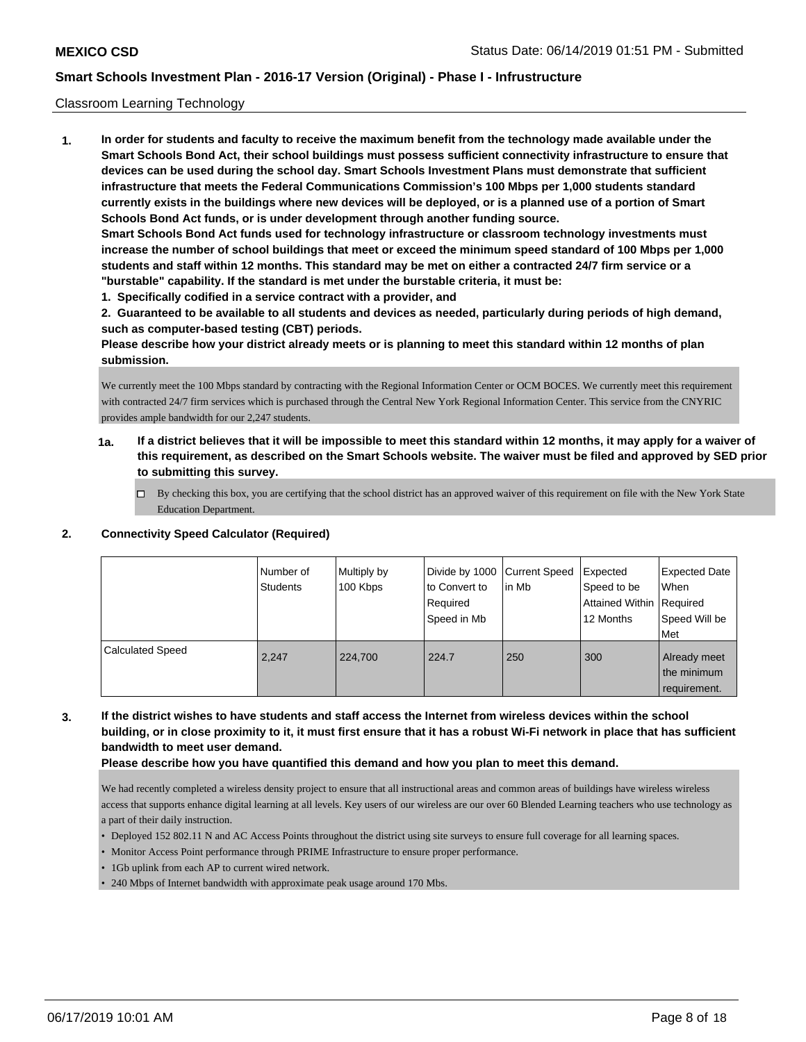#### Classroom Learning Technology

**1. In order for students and faculty to receive the maximum benefit from the technology made available under the Smart Schools Bond Act, their school buildings must possess sufficient connectivity infrastructure to ensure that devices can be used during the school day. Smart Schools Investment Plans must demonstrate that sufficient infrastructure that meets the Federal Communications Commission's 100 Mbps per 1,000 students standard currently exists in the buildings where new devices will be deployed, or is a planned use of a portion of Smart Schools Bond Act funds, or is under development through another funding source. Smart Schools Bond Act funds used for technology infrastructure or classroom technology investments must increase the number of school buildings that meet or exceed the minimum speed standard of 100 Mbps per 1,000 students and staff within 12 months. This standard may be met on either a contracted 24/7 firm service or a "burstable" capability. If the standard is met under the burstable criteria, it must be:**

**1. Specifically codified in a service contract with a provider, and**

**2. Guaranteed to be available to all students and devices as needed, particularly during periods of high demand, such as computer-based testing (CBT) periods.**

**Please describe how your district already meets or is planning to meet this standard within 12 months of plan submission.**

We currently meet the 100 Mbps standard by contracting with the Regional Information Center or OCM BOCES. We currently meet this requirement with contracted 24/7 firm services which is purchased through the Central New York Regional Information Center. This service from the CNYRIC provides ample bandwidth for our 2,247 students.

- **1a. If a district believes that it will be impossible to meet this standard within 12 months, it may apply for a waiver of this requirement, as described on the Smart Schools website. The waiver must be filed and approved by SED prior to submitting this survey.**
	- By checking this box, you are certifying that the school district has an approved waiver of this requirement on file with the New York State Education Department.

#### **2. Connectivity Speed Calculator (Required)**

|                         | Number of<br><b>Students</b> | Multiply by<br>100 Kbps | Divide by 1000 Current Speed<br>to Convert to<br>Required<br>Speed in Mb | l in Mb | Expected<br>Speed to be<br>Attained Within   Required<br>12 Months | <b>Expected Date</b><br><b>When</b><br>Speed Will be<br>Met |
|-------------------------|------------------------------|-------------------------|--------------------------------------------------------------------------|---------|--------------------------------------------------------------------|-------------------------------------------------------------|
| <b>Calculated Speed</b> | 2.247                        | 224,700                 | 224.7                                                                    | 250     | 300                                                                | Already meet<br>the minimum<br>requirement.                 |

**3. If the district wishes to have students and staff access the Internet from wireless devices within the school building, or in close proximity to it, it must first ensure that it has a robust Wi-Fi network in place that has sufficient bandwidth to meet user demand.**

**Please describe how you have quantified this demand and how you plan to meet this demand.**

We had recently completed a wireless density project to ensure that all instructional areas and common areas of buildings have wireless wireless access that supports enhance digital learning at all levels. Key users of our wireless are our over 60 Blended Learning teachers who use technology as a part of their daily instruction.

- Deployed 152 802.11 N and AC Access Points throughout the district using site surveys to ensure full coverage for all learning spaces.
- Monitor Access Point performance through PRIME Infrastructure to ensure proper performance.
- 1Gb uplink from each AP to current wired network.
- 240 Mbps of Internet bandwidth with approximate peak usage around 170 Mbs.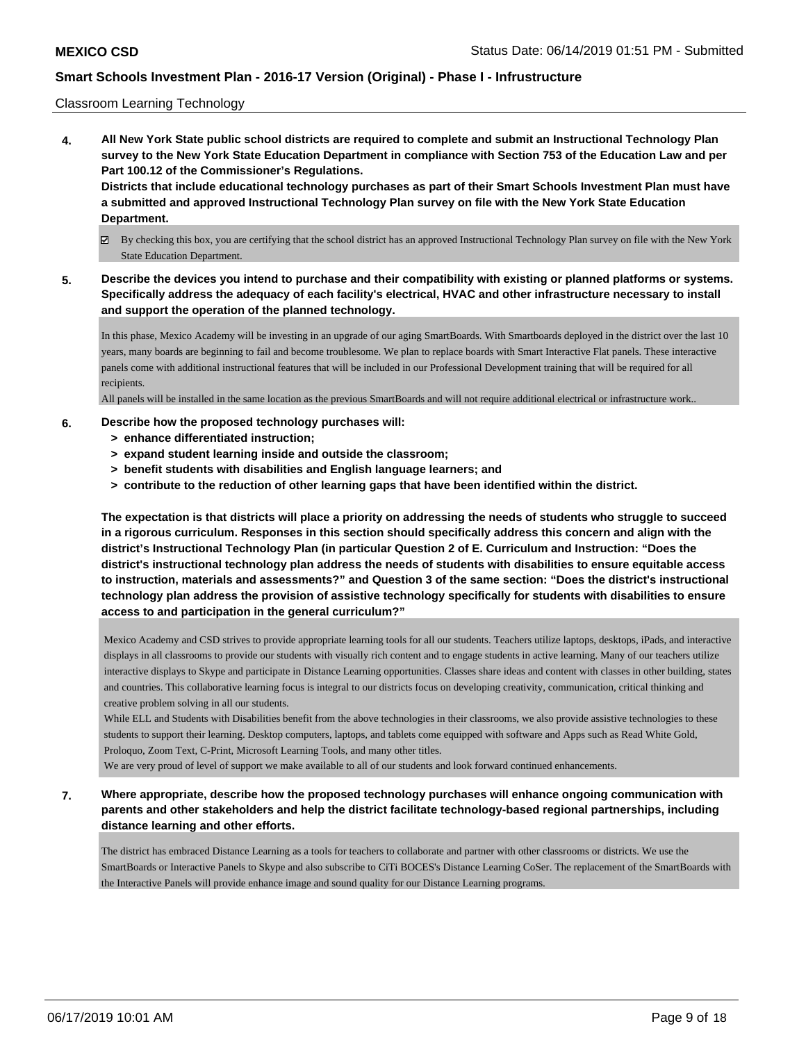#### Classroom Learning Technology

**4. All New York State public school districts are required to complete and submit an Instructional Technology Plan survey to the New York State Education Department in compliance with Section 753 of the Education Law and per Part 100.12 of the Commissioner's Regulations. Districts that include educational technology purchases as part of their Smart Schools Investment Plan must have a submitted and approved Instructional Technology Plan survey on file with the New York State Education**

# **Department.**

- By checking this box, you are certifying that the school district has an approved Instructional Technology Plan survey on file with the New York State Education Department.
- **5. Describe the devices you intend to purchase and their compatibility with existing or planned platforms or systems. Specifically address the adequacy of each facility's electrical, HVAC and other infrastructure necessary to install and support the operation of the planned technology.**

In this phase, Mexico Academy will be investing in an upgrade of our aging SmartBoards. With Smartboards deployed in the district over the last 10 years, many boards are beginning to fail and become troublesome. We plan to replace boards with Smart Interactive Flat panels. These interactive panels come with additional instructional features that will be included in our Professional Development training that will be required for all recipients.

All panels will be installed in the same location as the previous SmartBoards and will not require additional electrical or infrastructure work..

#### **6. Describe how the proposed technology purchases will:**

- **> enhance differentiated instruction;**
- **> expand student learning inside and outside the classroom;**
- **> benefit students with disabilities and English language learners; and**
- **> contribute to the reduction of other learning gaps that have been identified within the district.**

**The expectation is that districts will place a priority on addressing the needs of students who struggle to succeed in a rigorous curriculum. Responses in this section should specifically address this concern and align with the district's Instructional Technology Plan (in particular Question 2 of E. Curriculum and Instruction: "Does the district's instructional technology plan address the needs of students with disabilities to ensure equitable access to instruction, materials and assessments?" and Question 3 of the same section: "Does the district's instructional technology plan address the provision of assistive technology specifically for students with disabilities to ensure access to and participation in the general curriculum?"**

Mexico Academy and CSD strives to provide appropriate learning tools for all our students. Teachers utilize laptops, desktops, iPads, and interactive displays in all classrooms to provide our students with visually rich content and to engage students in active learning. Many of our teachers utilize interactive displays to Skype and participate in Distance Learning opportunities. Classes share ideas and content with classes in other building, states and countries. This collaborative learning focus is integral to our districts focus on developing creativity, communication, critical thinking and creative problem solving in all our students.

While ELL and Students with Disabilities benefit from the above technologies in their classrooms, we also provide assistive technologies to these students to support their learning. Desktop computers, laptops, and tablets come equipped with software and Apps such as Read White Gold, Proloquo, Zoom Text, C-Print, Microsoft Learning Tools, and many other titles.

We are very proud of level of support we make available to all of our students and look forward continued enhancements.

**7. Where appropriate, describe how the proposed technology purchases will enhance ongoing communication with parents and other stakeholders and help the district facilitate technology-based regional partnerships, including distance learning and other efforts.**

The district has embraced Distance Learning as a tools for teachers to collaborate and partner with other classrooms or districts. We use the SmartBoards or Interactive Panels to Skype and also subscribe to CiTi BOCES's Distance Learning CoSer. The replacement of the SmartBoards with the Interactive Panels will provide enhance image and sound quality for our Distance Learning programs.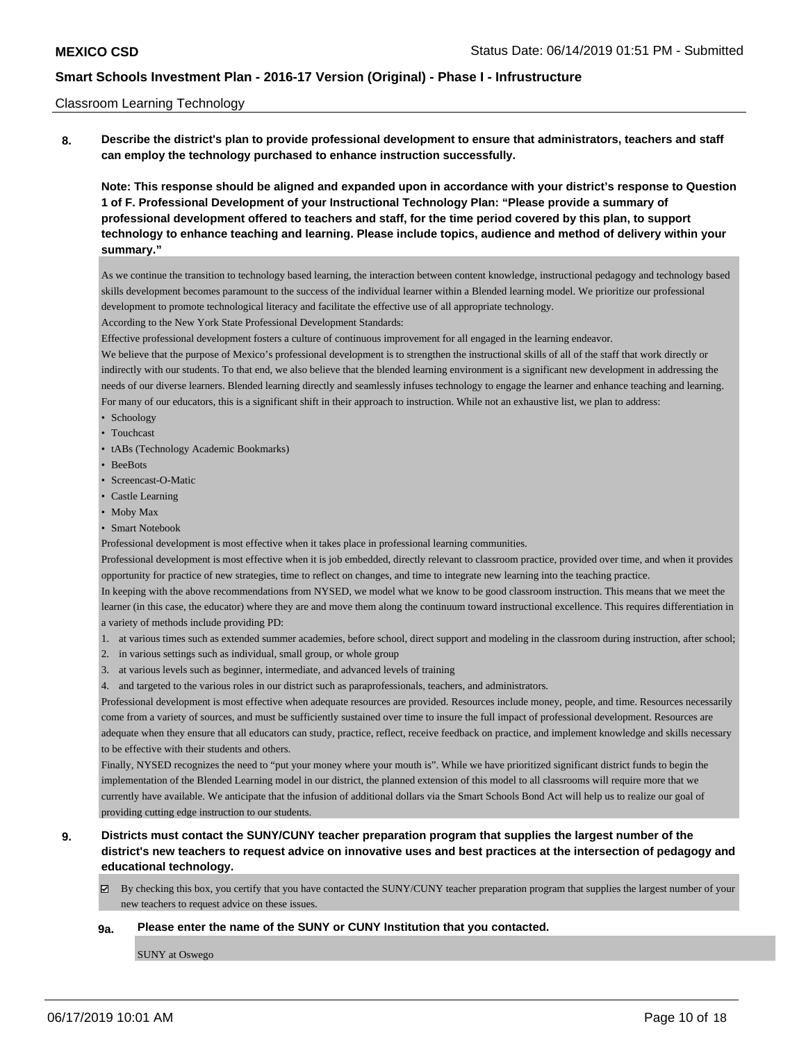#### Classroom Learning Technology

**8. Describe the district's plan to provide professional development to ensure that administrators, teachers and staff can employ the technology purchased to enhance instruction successfully.**

**Note: This response should be aligned and expanded upon in accordance with your district's response to Question 1 of F. Professional Development of your Instructional Technology Plan: "Please provide a summary of professional development offered to teachers and staff, for the time period covered by this plan, to support technology to enhance teaching and learning. Please include topics, audience and method of delivery within your summary."**

As we continue the transition to technology based learning, the interaction between content knowledge, instructional pedagogy and technology based skills development becomes paramount to the success of the individual learner within a Blended learning model. We prioritize our professional development to promote technological literacy and facilitate the effective use of all appropriate technology.

According to the New York State Professional Development Standards:

Effective professional development fosters a culture of continuous improvement for all engaged in the learning endeavor.

We believe that the purpose of Mexico's professional development is to strengthen the instructional skills of all of the staff that work directly or indirectly with our students. To that end, we also believe that the blended learning environment is a significant new development in addressing the needs of our diverse learners. Blended learning directly and seamlessly infuses technology to engage the learner and enhance teaching and learning. For many of our educators, this is a significant shift in their approach to instruction. While not an exhaustive list, we plan to address:

- Schoology
- Touchcast
- tABs (Technology Academic Bookmarks)
- BeeBots
- Screencast-O-Matic
- Castle Learning
- Moby Max
- Smart Notebook

Professional development is most effective when it takes place in professional learning communities.

Professional development is most effective when it is job embedded, directly relevant to classroom practice, provided over time, and when it provides opportunity for practice of new strategies, time to reflect on changes, and time to integrate new learning into the teaching practice.

In keeping with the above recommendations from NYSED, we model what we know to be good classroom instruction. This means that we meet the learner (in this case, the educator) where they are and move them along the continuum toward instructional excellence. This requires differentiation in a variety of methods include providing PD:

- 1. at various times such as extended summer academies, before school, direct support and modeling in the classroom during instruction, after school;
- 2. in various settings such as individual, small group, or whole group
- 3. at various levels such as beginner, intermediate, and advanced levels of training
- 4. and targeted to the various roles in our district such as paraprofessionals, teachers, and administrators.

Professional development is most effective when adequate resources are provided. Resources include money, people, and time. Resources necessarily come from a variety of sources, and must be sufficiently sustained over time to insure the full impact of professional development. Resources are adequate when they ensure that all educators can study, practice, reflect, receive feedback on practice, and implement knowledge and skills necessary to be effective with their students and others.

Finally, NYSED recognizes the need to "put your money where your mouth is". While we have prioritized significant district funds to begin the implementation of the Blended Learning model in our district, the planned extension of this model to all classrooms will require more that we currently have available. We anticipate that the infusion of additional dollars via the Smart Schools Bond Act will help us to realize our goal of providing cutting edge instruction to our students.

### **9. Districts must contact the SUNY/CUNY teacher preparation program that supplies the largest number of the district's new teachers to request advice on innovative uses and best practices at the intersection of pedagogy and educational technology.**

By checking this box, you certify that you have contacted the SUNY/CUNY teacher preparation program that supplies the largest number of your new teachers to request advice on these issues.

#### **9a. Please enter the name of the SUNY or CUNY Institution that you contacted.**

SUNY at Oswego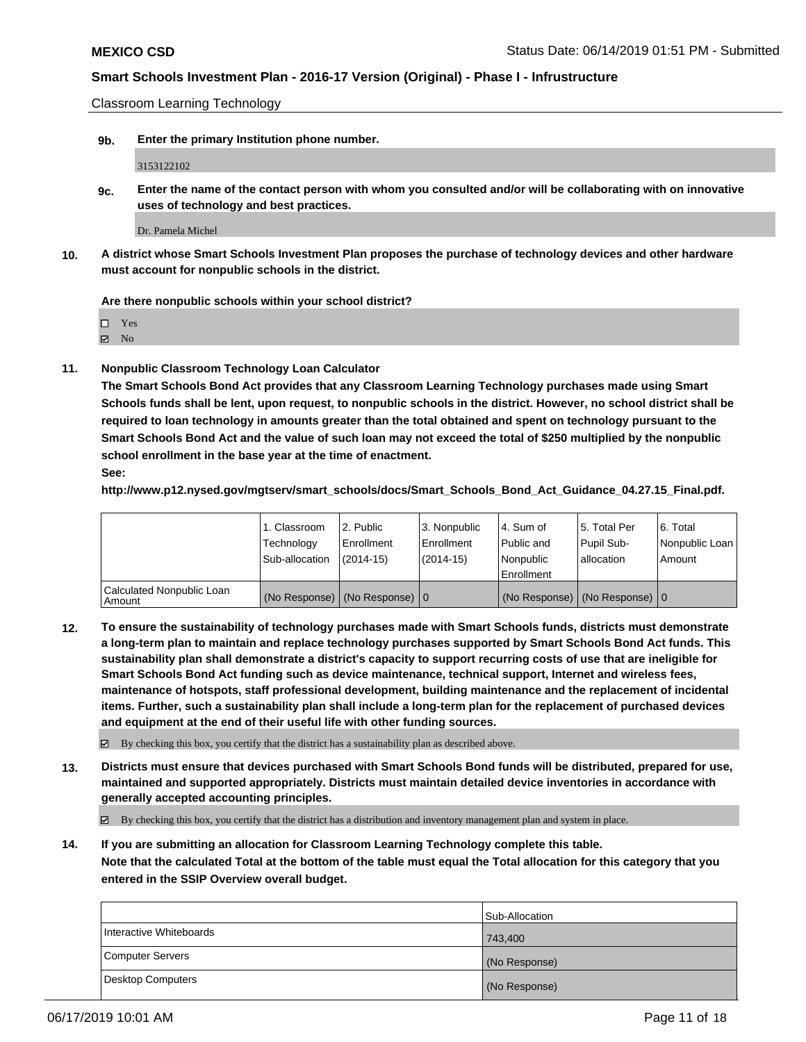Classroom Learning Technology

**9b. Enter the primary Institution phone number.**

3153122102

**9c. Enter the name of the contact person with whom you consulted and/or will be collaborating with on innovative uses of technology and best practices.**

Dr. Pamela Michel

**10. A district whose Smart Schools Investment Plan proposes the purchase of technology devices and other hardware must account for nonpublic schools in the district.**

**Are there nonpublic schools within your school district?**

Yes

**Z** No

**11. Nonpublic Classroom Technology Loan Calculator**

**The Smart Schools Bond Act provides that any Classroom Learning Technology purchases made using Smart Schools funds shall be lent, upon request, to nonpublic schools in the district. However, no school district shall be required to loan technology in amounts greater than the total obtained and spent on technology pursuant to the Smart Schools Bond Act and the value of such loan may not exceed the total of \$250 multiplied by the nonpublic school enrollment in the base year at the time of enactment. See:**

**http://www.p12.nysed.gov/mgtserv/smart\_schools/docs/Smart\_Schools\_Bond\_Act\_Guidance\_04.27.15\_Final.pdf.**

|                                       | 1. Classroom<br>Technology<br>Sub-allocation | 2. Public<br>l Enrollment<br>(2014-15)     | l 3. Nonpublic<br>l Enrollment<br>$(2014 - 15)$ | l 4. Sum of<br>l Public and<br>l Nonpublic<br>Enrollment | 15. Total Per<br>Pupil Sub-<br>l allocation | l 6. Total<br>Nonpublic Loan<br>Amount |
|---------------------------------------|----------------------------------------------|--------------------------------------------|-------------------------------------------------|----------------------------------------------------------|---------------------------------------------|----------------------------------------|
| Calculated Nonpublic Loan<br>l Amount |                                              | (No Response) $ (No$ Response) $ 0\rangle$ |                                                 |                                                          | (No Response) $ (No$ Response) $ 0\rangle$  |                                        |

**12. To ensure the sustainability of technology purchases made with Smart Schools funds, districts must demonstrate a long-term plan to maintain and replace technology purchases supported by Smart Schools Bond Act funds. This sustainability plan shall demonstrate a district's capacity to support recurring costs of use that are ineligible for Smart Schools Bond Act funding such as device maintenance, technical support, Internet and wireless fees, maintenance of hotspots, staff professional development, building maintenance and the replacement of incidental items. Further, such a sustainability plan shall include a long-term plan for the replacement of purchased devices and equipment at the end of their useful life with other funding sources.**

By checking this box, you certify that the district has a sustainability plan as described above.

**13. Districts must ensure that devices purchased with Smart Schools Bond funds will be distributed, prepared for use, maintained and supported appropriately. Districts must maintain detailed device inventories in accordance with generally accepted accounting principles.**

By checking this box, you certify that the district has a distribution and inventory management plan and system in place.

**14. If you are submitting an allocation for Classroom Learning Technology complete this table. Note that the calculated Total at the bottom of the table must equal the Total allocation for this category that you entered in the SSIP Overview overall budget.**

|                         | Sub-Allocation |
|-------------------------|----------------|
| Interactive Whiteboards | 743.400        |
| Computer Servers        | (No Response)  |
| Desktop Computers       | (No Response)  |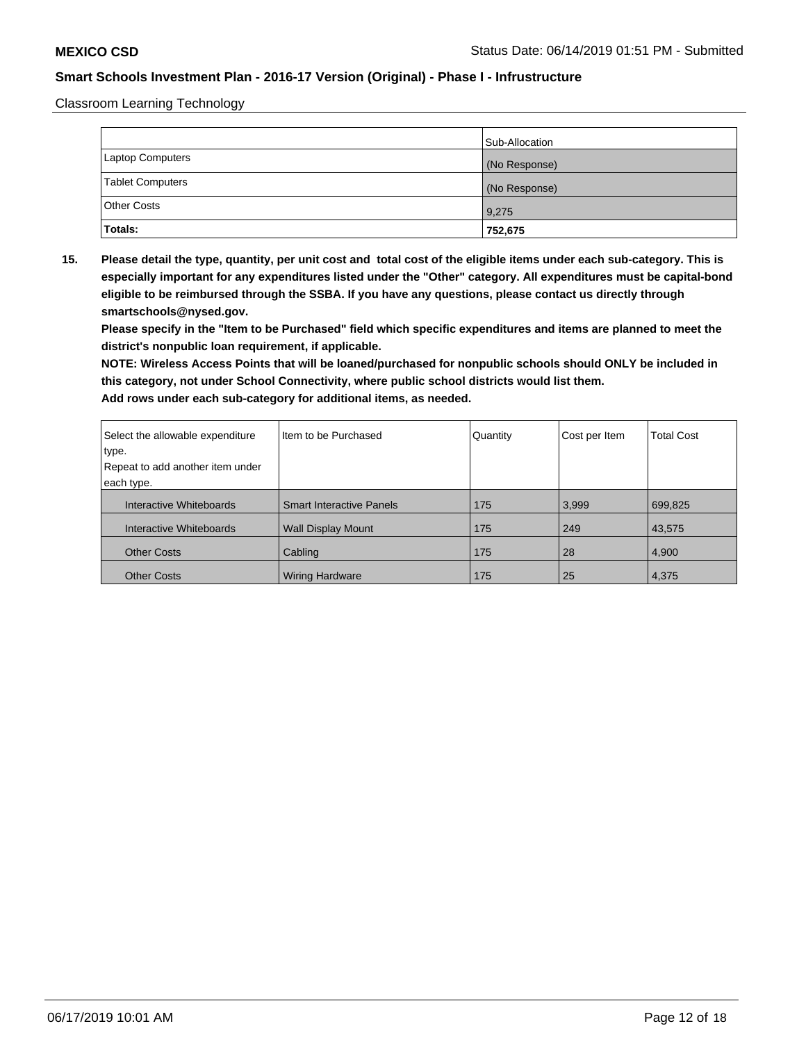Classroom Learning Technology

|                         | Sub-Allocation |
|-------------------------|----------------|
| Laptop Computers        | (No Response)  |
| <b>Tablet Computers</b> | (No Response)  |
| <b>Other Costs</b>      | 9,275          |
| <b>Totals:</b>          | 752,675        |

**15. Please detail the type, quantity, per unit cost and total cost of the eligible items under each sub-category. This is especially important for any expenditures listed under the "Other" category. All expenditures must be capital-bond eligible to be reimbursed through the SSBA. If you have any questions, please contact us directly through smartschools@nysed.gov.**

**Please specify in the "Item to be Purchased" field which specific expenditures and items are planned to meet the district's nonpublic loan requirement, if applicable.**

**NOTE: Wireless Access Points that will be loaned/purchased for nonpublic schools should ONLY be included in this category, not under School Connectivity, where public school districts would list them.**

| Select the allowable expenditure | Item to be Purchased            | Quantity | Cost per Item | <b>Total Cost</b> |
|----------------------------------|---------------------------------|----------|---------------|-------------------|
| type.                            |                                 |          |               |                   |
| Repeat to add another item under |                                 |          |               |                   |
| each type.                       |                                 |          |               |                   |
| Interactive Whiteboards          | <b>Smart Interactive Panels</b> | 175      | 3,999         | 699,825           |
| Interactive Whiteboards          | <b>Wall Display Mount</b>       | 175      | 249           | 43,575            |
| <b>Other Costs</b>               | Cabling                         | 175      | 28            | 4,900             |
| <b>Other Costs</b>               | <b>Wiring Hardware</b>          | 175      | 25            | 4,375             |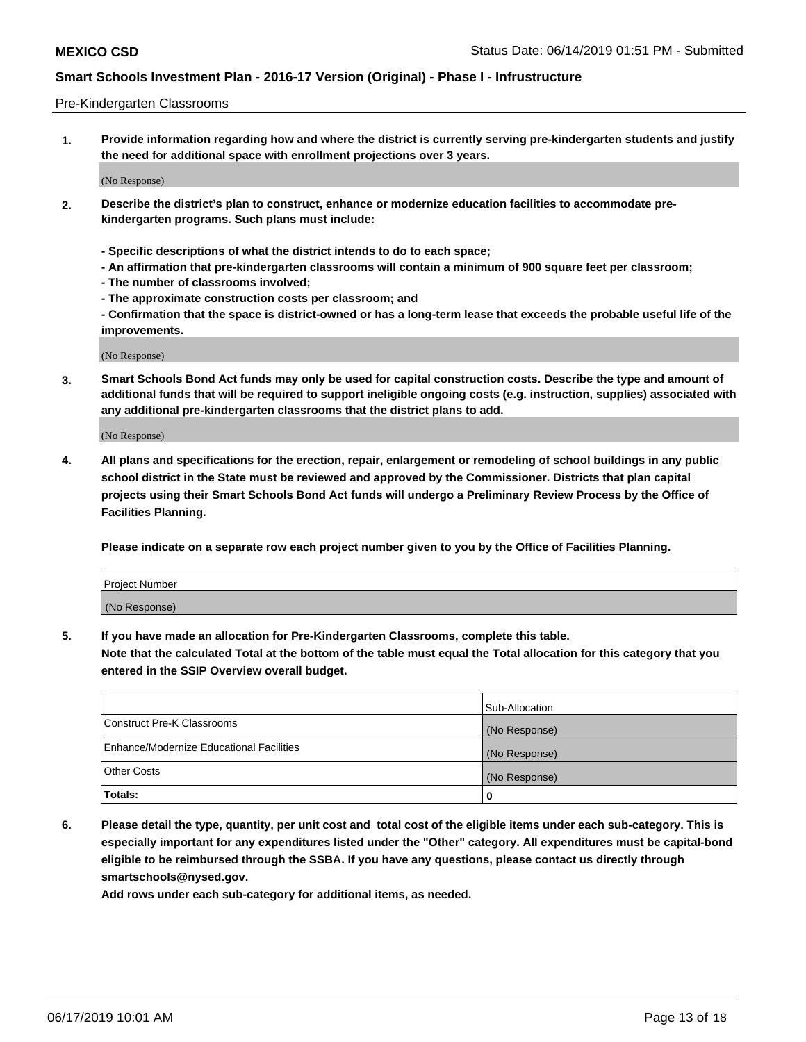#### Pre-Kindergarten Classrooms

**1. Provide information regarding how and where the district is currently serving pre-kindergarten students and justify the need for additional space with enrollment projections over 3 years.**

(No Response)

- **2. Describe the district's plan to construct, enhance or modernize education facilities to accommodate prekindergarten programs. Such plans must include:**
	- **Specific descriptions of what the district intends to do to each space;**
	- **An affirmation that pre-kindergarten classrooms will contain a minimum of 900 square feet per classroom;**
	- **The number of classrooms involved;**
	- **The approximate construction costs per classroom; and**
	- **Confirmation that the space is district-owned or has a long-term lease that exceeds the probable useful life of the improvements.**

(No Response)

**3. Smart Schools Bond Act funds may only be used for capital construction costs. Describe the type and amount of additional funds that will be required to support ineligible ongoing costs (e.g. instruction, supplies) associated with any additional pre-kindergarten classrooms that the district plans to add.**

(No Response)

**4. All plans and specifications for the erection, repair, enlargement or remodeling of school buildings in any public school district in the State must be reviewed and approved by the Commissioner. Districts that plan capital projects using their Smart Schools Bond Act funds will undergo a Preliminary Review Process by the Office of Facilities Planning.**

**Please indicate on a separate row each project number given to you by the Office of Facilities Planning.**

| Project Number |  |
|----------------|--|
| (No Response)  |  |
|                |  |

**5. If you have made an allocation for Pre-Kindergarten Classrooms, complete this table.**

**Note that the calculated Total at the bottom of the table must equal the Total allocation for this category that you entered in the SSIP Overview overall budget.**

|                                          | Sub-Allocation |
|------------------------------------------|----------------|
| Construct Pre-K Classrooms               | (No Response)  |
| Enhance/Modernize Educational Facilities | (No Response)  |
| <b>Other Costs</b>                       | (No Response)  |
| Totals:                                  | 0              |

**6. Please detail the type, quantity, per unit cost and total cost of the eligible items under each sub-category. This is especially important for any expenditures listed under the "Other" category. All expenditures must be capital-bond eligible to be reimbursed through the SSBA. If you have any questions, please contact us directly through smartschools@nysed.gov.**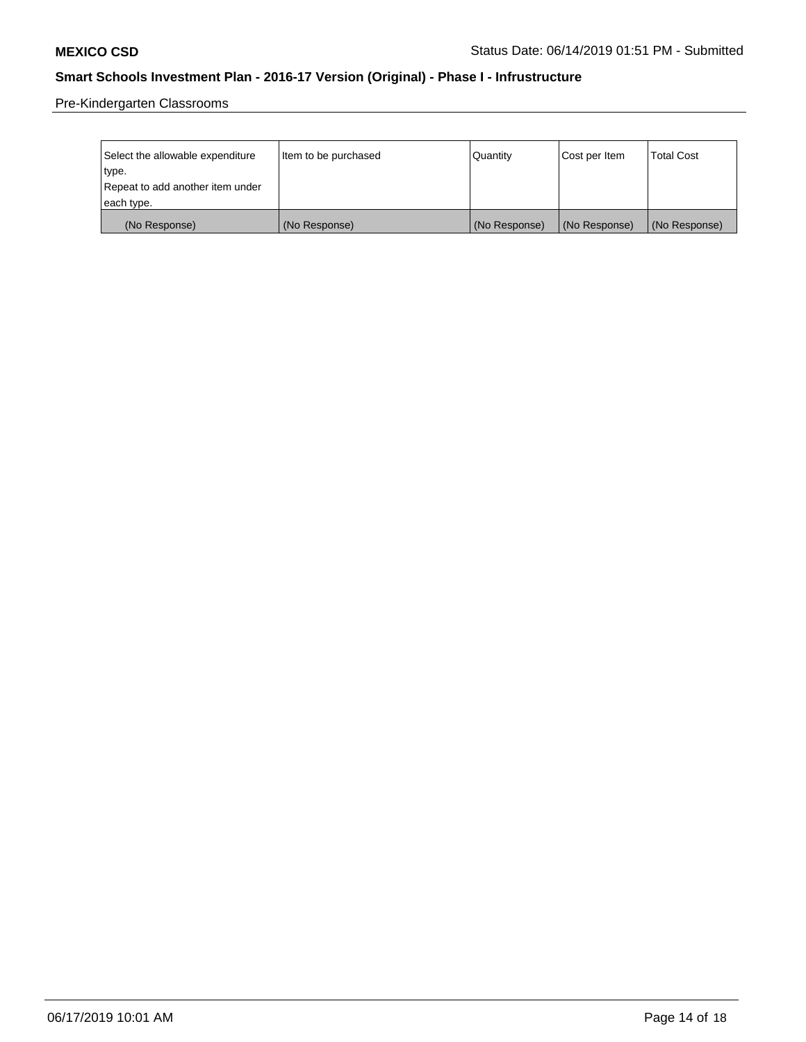Pre-Kindergarten Classrooms

| Select the allowable expenditure | Item to be purchased | Quantity      | Cost per Item | <b>Total Cost</b> |
|----------------------------------|----------------------|---------------|---------------|-------------------|
| type.                            |                      |               |               |                   |
| Repeat to add another item under |                      |               |               |                   |
| each type.                       |                      |               |               |                   |
| (No Response)                    | (No Response)        | (No Response) | (No Response) | (No Response)     |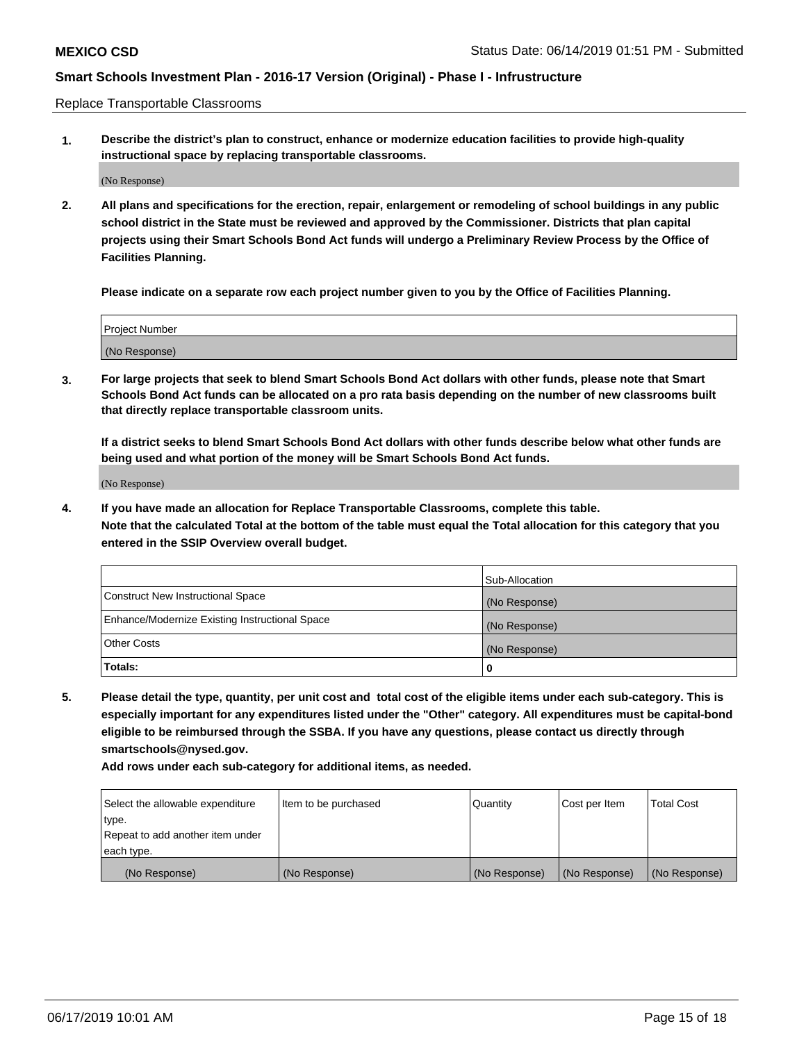Replace Transportable Classrooms

**1. Describe the district's plan to construct, enhance or modernize education facilities to provide high-quality instructional space by replacing transportable classrooms.**

(No Response)

**2. All plans and specifications for the erection, repair, enlargement or remodeling of school buildings in any public school district in the State must be reviewed and approved by the Commissioner. Districts that plan capital projects using their Smart Schools Bond Act funds will undergo a Preliminary Review Process by the Office of Facilities Planning.**

**Please indicate on a separate row each project number given to you by the Office of Facilities Planning.**

| Project Number |  |
|----------------|--|
|                |  |
|                |  |
|                |  |
|                |  |
| (No Response)  |  |
|                |  |
|                |  |
|                |  |

**3. For large projects that seek to blend Smart Schools Bond Act dollars with other funds, please note that Smart Schools Bond Act funds can be allocated on a pro rata basis depending on the number of new classrooms built that directly replace transportable classroom units.**

**If a district seeks to blend Smart Schools Bond Act dollars with other funds describe below what other funds are being used and what portion of the money will be Smart Schools Bond Act funds.**

(No Response)

**4. If you have made an allocation for Replace Transportable Classrooms, complete this table. Note that the calculated Total at the bottom of the table must equal the Total allocation for this category that you entered in the SSIP Overview overall budget.**

|                                                | Sub-Allocation |
|------------------------------------------------|----------------|
| Construct New Instructional Space              | (No Response)  |
| Enhance/Modernize Existing Instructional Space | (No Response)  |
| <b>Other Costs</b>                             | (No Response)  |
| Totals:                                        | 0              |

**5. Please detail the type, quantity, per unit cost and total cost of the eligible items under each sub-category. This is especially important for any expenditures listed under the "Other" category. All expenditures must be capital-bond eligible to be reimbursed through the SSBA. If you have any questions, please contact us directly through smartschools@nysed.gov.**

| Select the allowable expenditure | Item to be purchased | l Quantitv    | Cost per Item | <b>Total Cost</b> |
|----------------------------------|----------------------|---------------|---------------|-------------------|
| type.                            |                      |               |               |                   |
| Repeat to add another item under |                      |               |               |                   |
| each type.                       |                      |               |               |                   |
| (No Response)                    | (No Response)        | (No Response) | (No Response) | (No Response)     |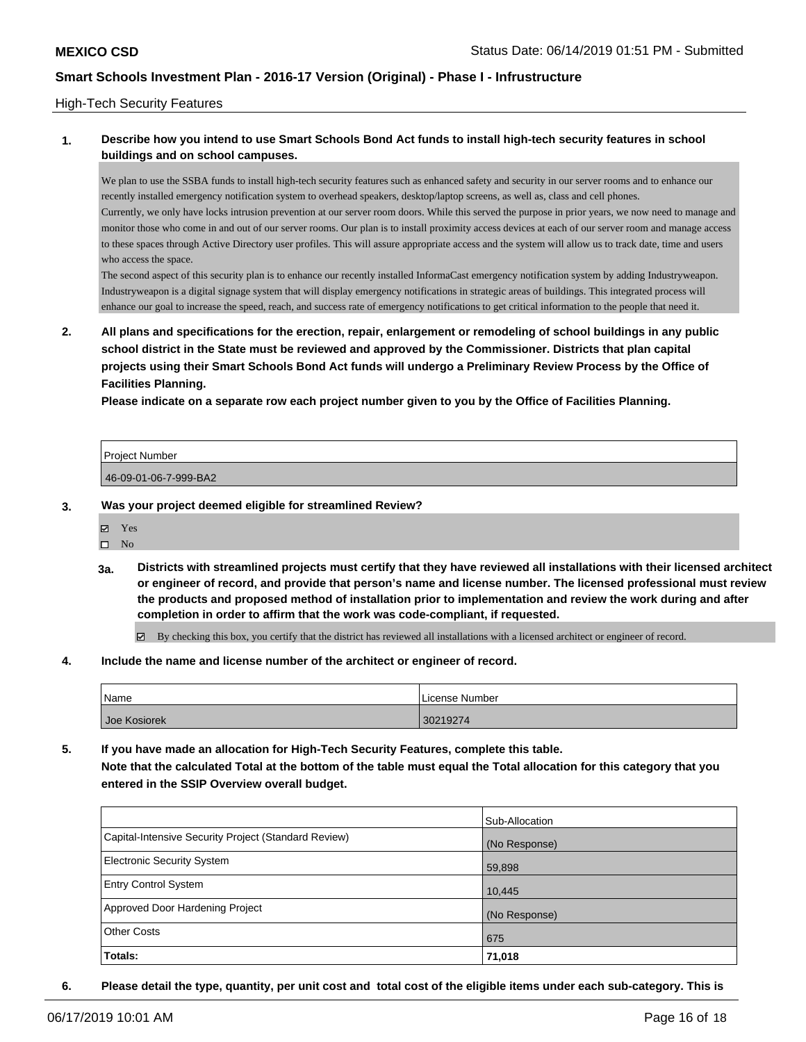#### High-Tech Security Features

### **1. Describe how you intend to use Smart Schools Bond Act funds to install high-tech security features in school buildings and on school campuses.**

We plan to use the SSBA funds to install high-tech security features such as enhanced safety and security in our server rooms and to enhance our recently installed emergency notification system to overhead speakers, desktop/laptop screens, as well as, class and cell phones. Currently, we only have locks intrusion prevention at our server room doors. While this served the purpose in prior years, we now need to manage and monitor those who come in and out of our server rooms. Our plan is to install proximity access devices at each of our server room and manage access to these spaces through Active Directory user profiles. This will assure appropriate access and the system will allow us to track date, time and users who access the space.

The second aspect of this security plan is to enhance our recently installed InformaCast emergency notification system by adding Industryweapon. Industryweapon is a digital signage system that will display emergency notifications in strategic areas of buildings. This integrated process will enhance our goal to increase the speed, reach, and success rate of emergency notifications to get critical information to the people that need it.

**2. All plans and specifications for the erection, repair, enlargement or remodeling of school buildings in any public school district in the State must be reviewed and approved by the Commissioner. Districts that plan capital projects using their Smart Schools Bond Act funds will undergo a Preliminary Review Process by the Office of Facilities Planning.** 

**Please indicate on a separate row each project number given to you by the Office of Facilities Planning.**

| <b>Project Number</b> |  |
|-----------------------|--|
| 46-09-01-06-7-999-BA2 |  |

#### **3. Was your project deemed eligible for streamlined Review?**

Yes

 $\hfill \square$  No

**3a. Districts with streamlined projects must certify that they have reviewed all installations with their licensed architect or engineer of record, and provide that person's name and license number. The licensed professional must review the products and proposed method of installation prior to implementation and review the work during and after completion in order to affirm that the work was code-compliant, if requested.**

By checking this box, you certify that the district has reviewed all installations with a licensed architect or engineer of record.

**4. Include the name and license number of the architect or engineer of record.**

| Name         | License Number |
|--------------|----------------|
| Joe Kosiorek | 30219274       |

**5. If you have made an allocation for High-Tech Security Features, complete this table. Note that the calculated Total at the bottom of the table must equal the Total allocation for this category that you entered in the SSIP Overview overall budget.**

|                                                      | Sub-Allocation |
|------------------------------------------------------|----------------|
| Capital-Intensive Security Project (Standard Review) | (No Response)  |
| <b>Electronic Security System</b>                    | 59,898         |
| <b>Entry Control System</b>                          | 10,445         |
| Approved Door Hardening Project                      | (No Response)  |
| <b>Other Costs</b>                                   | 675            |
| <b>Totals:</b>                                       | 71,018         |

**6. Please detail the type, quantity, per unit cost and total cost of the eligible items under each sub-category. This is**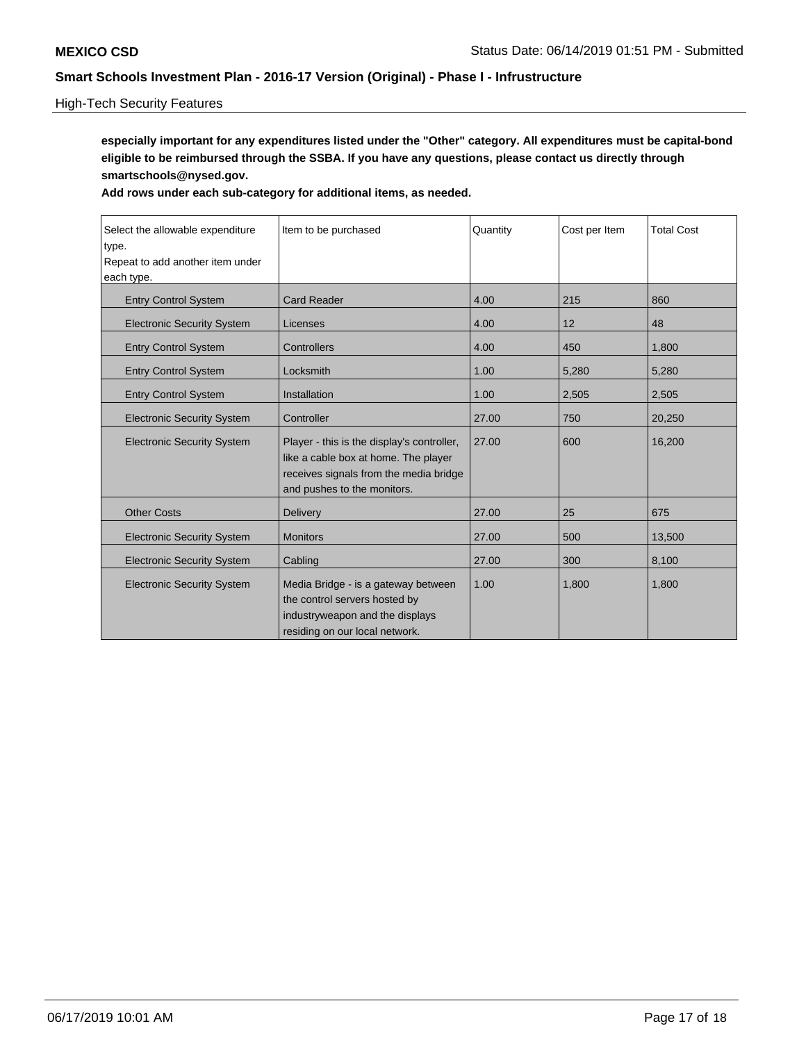### High-Tech Security Features

**especially important for any expenditures listed under the "Other" category. All expenditures must be capital-bond eligible to be reimbursed through the SSBA. If you have any questions, please contact us directly through smartschools@nysed.gov.**

| Select the allowable expenditure<br>type.<br>Repeat to add another item under<br>each type. | Item to be purchased                                                                                                                                        | Quantity | Cost per Item | <b>Total Cost</b> |
|---------------------------------------------------------------------------------------------|-------------------------------------------------------------------------------------------------------------------------------------------------------------|----------|---------------|-------------------|
| <b>Entry Control System</b>                                                                 | <b>Card Reader</b>                                                                                                                                          | 4.00     | 215           | 860               |
| <b>Electronic Security System</b>                                                           | Licenses                                                                                                                                                    | 4.00     | 12            | 48                |
| <b>Entry Control System</b>                                                                 | Controllers                                                                                                                                                 | 4.00     | 450           | 1,800             |
| <b>Entry Control System</b>                                                                 | Locksmith                                                                                                                                                   | 1.00     | 5,280         | 5,280             |
| <b>Entry Control System</b>                                                                 | Installation                                                                                                                                                | 1.00     | 2,505         | 2,505             |
| <b>Electronic Security System</b>                                                           | Controller                                                                                                                                                  | 27.00    | 750           | 20,250            |
| <b>Electronic Security System</b>                                                           | Player - this is the display's controller,<br>like a cable box at home. The player<br>receives signals from the media bridge<br>and pushes to the monitors. | 27.00    | 600           | 16,200            |
| <b>Other Costs</b>                                                                          | <b>Delivery</b>                                                                                                                                             | 27.00    | 25            | 675               |
| <b>Electronic Security System</b>                                                           | <b>Monitors</b>                                                                                                                                             | 27.00    | 500           | 13,500            |
| <b>Electronic Security System</b>                                                           | Cabling                                                                                                                                                     | 27.00    | 300           | 8,100             |
| <b>Electronic Security System</b>                                                           | Media Bridge - is a gateway between<br>the control servers hosted by<br>industryweapon and the displays<br>residing on our local network.                   | 1.00     | 1,800         | 1,800             |